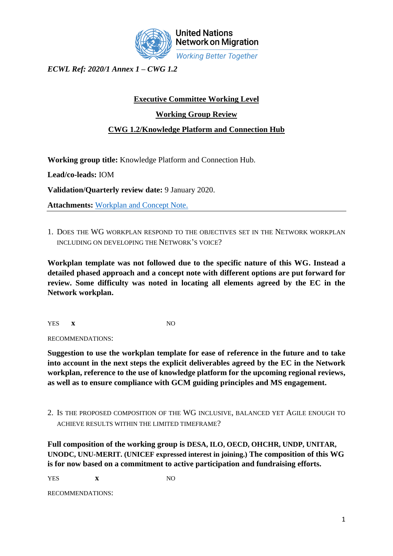

*ECWL Ref: 2020/1 Annex 1 – CWG 1.2*

## **Executive Committee Working Level**

**Working Group Review**

## **CWG 1.2/Knowledge Platform and Connection Hub**

**Working group title:** Knowledge Platform and Connection Hub.

**Lead/co-leads:** IOM

**Validation/Quarterly review date:** 9 January 2020.

**Attachments:** [Workplan and Concept Note.](https://iomint-my.sharepoint.com/:f:/g/personal/amateo_iom_int1/EjCUuKmYFZhPgwNsSCK-n7oBGDd78nE6fZ38pcVErFhbkA?e=lcV8oJ)

1. DOES THE WG WORKPLAN RESPOND TO THE OBJECTIVES SET IN THE NETWORK WORKPLAN INCLUDING ON DEVELOPING THE NETWORK'S VOICE?

**Workplan template was not followed due to the specific nature of this WG. Instead a detailed phased approach and a concept note with different options are put forward for review. Some difficulty was noted in locating all elements agreed by the EC in the Network workplan.**

YES **x** NO

RECOMMENDATIONS:

**Suggestion to use the workplan template for ease of reference in the future and to take into account in the next steps the explicit deliverables agreed by the EC in the Network workplan, reference to the use of knowledge platform for the upcoming regional reviews, as well as to ensure compliance with GCM guiding principles and MS engagement.**

2. IS THE PROPOSED COMPOSITION OF THE WG INCLUSIVE, BALANCED YET AGILE ENOUGH TO ACHIEVE RESULTS WITHIN THE LIMITED TIMEFRAME?

**Full composition of the working group is DESA, ILO, OECD, OHCHR, UNDP, UNITAR, UNODC, UNU-MERIT. (UNICEF expressed interest in joining.) The composition of this WG is for now based on a commitment to active participation and fundraising efforts.**

YES **x** NO

RECOMMENDATIONS: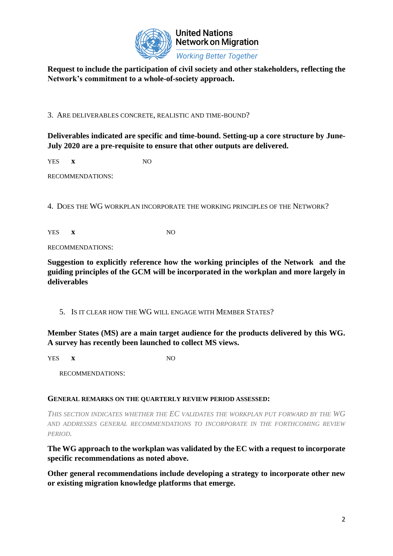

**United Nations Network on Migration Working Better Together** 

**Request to include the participation of civil society and other stakeholders, reflecting the Network's commitment to a whole-of-society approach.**

3. ARE DELIVERABLES CONCRETE, REALISTIC AND TIME-BOUND?

**Deliverables indicated are specific and time-bound. Setting-up a core structure by June-July 2020 are a pre-requisite to ensure that other outputs are delivered.**

YES **x** NO

RECOMMENDATIONS:

4. DOES THE WG WORKPLAN INCORPORATE THE WORKING PRINCIPLES OF THE NETWORK?

YES **x** NO

RECOMMENDATIONS:

**Suggestion to explicitly reference how the working principles of the Network and the guiding principles of the GCM will be incorporated in the workplan and more largely in deliverables** 

5. IS IT CLEAR HOW THE WG WILL ENGAGE WITH MEMBER STATES?

**Member States (MS) are a main target audience for the products delivered by this WG. A survey has recently been launched to collect MS views.**

YES **x** NO

RECOMMENDATIONS:

## **GENERAL REMARKS ON THE QUARTERLY REVIEW PERIOD ASSESSED:**

*THIS SECTION INDICATES WHETHER THE EC VALIDATES THE WORKPLAN PUT FORWARD BY THE WG AND ADDRESSES GENERAL RECOMMENDATIONS TO INCORPORATE IN THE FORTHCOMING REVIEW PERIOD.*

**The WG approach to the workplan was validated by the EC with a request to incorporate specific recommendations as noted above.** 

**Other general recommendations include developing a strategy to incorporate other new or existing migration knowledge platforms that emerge.**